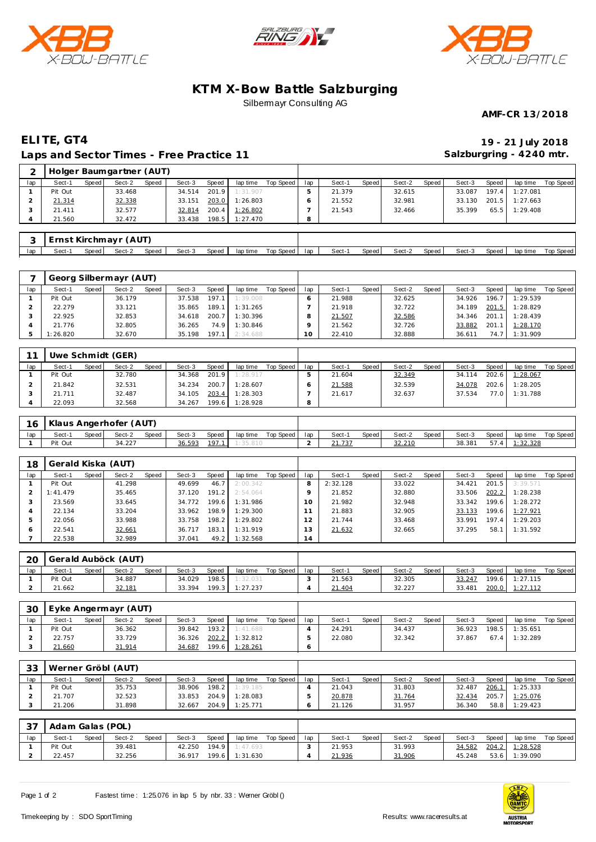





## **KTM X-Bow Battle Salzburging** Silbermayr Consulting AG

**AMF-CR 13/2018**

## **ELITE, GT4 19 - 21 July 2018 Laps and Sector Times - Free Practice 11**

**Salzburgring - 4240 mtr.**

| 2   |         |       | Holger Baumgartner (AUT) |       |        |       |          |           |     |        |       |        |       |        |       |          |           |
|-----|---------|-------|--------------------------|-------|--------|-------|----------|-----------|-----|--------|-------|--------|-------|--------|-------|----------|-----------|
| lap | Sect-1  | Speed | Sect-2                   | Speed | Sect-3 | Speed | lap time | Top Speed | lap | Sect-1 | Speed | Sect-2 | Speed | Sect-3 | Speed | lap time | Top Speed |
|     | Pit Out |       | 33.468                   |       | 34.514 | 201.9 | 1:31.907 |           |     | 21.379 |       | 32.615 |       | 33.087 | 197.4 | 1:27.081 |           |
|     | 21.314  |       | 32.338                   |       | 33.151 | 203.0 | 1:26.803 |           | 6   | 21.552 |       | 32.981 |       | 33.130 | 201.5 | 1:27.663 |           |
|     | 21.411  |       | 32.577                   |       | 32.814 | 200.4 | 1:26.802 |           |     | 21.543 |       | 32.466 |       | 35.399 | 65.5  | 1:29.408 |           |
| 4   | 21.560  |       | 32.472                   |       | 33.438 | 198.5 | 1:27.470 |           | 8   |        |       |        |       |        |       |          |           |
|     |         |       |                          |       |        |       |          |           |     |        |       |        |       |        |       |          |           |
| 3   |         |       | Ernst Kirchmayr (AUT)    |       |        |       |          |           |     |        |       |        |       |        |       |          |           |

|     |          |       | Georg Silbermayr (AUT) |       |        |       |          |           |     |        |       |        |       |        |       |          |           |
|-----|----------|-------|------------------------|-------|--------|-------|----------|-----------|-----|--------|-------|--------|-------|--------|-------|----------|-----------|
| lap | Sect-1   | Speed | Sect-2                 | Speed | Sect-3 | Speed | lap time | Top Speed | lap | Sect-1 | Speed | Sect-2 | Speed | Sect-3 | Speed | lap time | Top Speed |
|     | Pit Out  |       | 36.179                 |       | 37.538 | 197.1 | 1:39.008 |           |     | 21.988 |       | 32.625 |       | 34.926 | 196.7 | 1:29.539 |           |
|     | 22.279   |       | 33.121                 |       | 35.865 | 189.1 | 1:31.265 |           |     | 21.918 |       | 32.722 |       | 34.189 | 201.5 | 1:28.829 |           |
|     | 22.925   |       | 32.853                 |       | 34.618 | 200.7 | 1:30.396 |           |     | 21.507 |       | 32.586 |       | 34.346 | 201.1 | 1:28.439 |           |
|     | 21.776   |       | 32.805                 |       | 36.265 | 74.9  | 1:30.846 |           |     | 21.562 |       | 32.726 |       | 33.882 | 201.1 | 1:28.170 |           |
|     | 1:26.820 |       | 32.670                 |       | 35.198 | 197.1 | 2:34.688 |           |     | 22.410 |       | 32.888 |       | 36.611 | 74.7  | 1:31.909 |           |

lap | Sect-1 Speed | Sect-2 Speed | Sect-3 Speed | lap time Top Speed | lap | Sect-1 Speed | Sect-2 Speed | Sect-3 Speed | lap time Top Speed

| 11  |         |         | Uwe Schmidt (GER) |              |        |       |          |           |     |        |       |        |       |        |       |          |           |
|-----|---------|---------|-------------------|--------------|--------|-------|----------|-----------|-----|--------|-------|--------|-------|--------|-------|----------|-----------|
| lap | Sect-1  | Speed I | Sect-2            | <b>Speed</b> | Sect-3 | Speed | lap time | Top Speed | lap | Sect-1 | Speed | Sect-2 | Speed | Sect-3 | Speed | lap time | Top Speed |
|     | Pit Out |         | 32.780            |              | 34.368 | 201.9 | 1:28.917 |           |     | 21.604 |       | 32.349 |       | 34.114 | 202.6 | 1:28.067 |           |
|     | 21.842  |         | 32.531            |              | 34.234 | 200.7 | 1:28.607 |           |     | 21.588 |       | 32.539 |       | 34.078 | 202.6 | 1:28.205 |           |
|     | 21.711  |         | 32.487            |              | 34.105 | 203.4 | 1:28.303 |           |     | 21.617 |       | 32.637 |       | 37.534 | 77.0  | 1:31.788 |           |
|     | 22.093  |         | 32.568            |              | 34.267 | 199.6 | 1:28.928 |           | 8   |        |       |        |       |        |       |          |           |

| -16 | Klaus Angerhofer (AUT) |       |        |       |        |       |                |           |     |        |         |        |       |        |       |          |           |
|-----|------------------------|-------|--------|-------|--------|-------|----------------|-----------|-----|--------|---------|--------|-------|--------|-------|----------|-----------|
| lap | Sect-1                 | Speed | Sect-2 | Speed | Sect-3 | Speed | lap time       | Top Speed | lap | Sect-1 | Speed I | Sect-2 | Speed | Sect-3 | Speed | lap time | Top Speed |
|     | Pit Out                |       | 34.227 |       | 36.593 |       | 197.1 1:35.810 |           |     |        |         | 32.210 |       | 38.381 | 57.4  | 1:32.328 |           |

| 18  | Gerald Kiska (AUT) |       |        |       |        |        |          |           |     |          |       |        |       |        |       |          |           |
|-----|--------------------|-------|--------|-------|--------|--------|----------|-----------|-----|----------|-------|--------|-------|--------|-------|----------|-----------|
| lap | Sect-1             | Speed | Sect-2 | Speed | Sect-3 | Speed  | lap time | Top Speed | lap | Sect-1   | Speed | Sect-2 | Speed | Sect-3 | Speed | lap time | Top Speed |
|     | Pit Out            |       | 41.298 |       | 49.699 | 46.7   | 2:00.342 |           |     | 2:32.128 |       | 33.022 |       | 34.421 | 201.5 | 3:39.571 |           |
|     | 1:41.479           |       | 35.465 |       | 37.120 | 191.2  | 2:54.064 |           |     | 21.852   |       | 32.880 |       | 33.506 | 202.2 | 1:28.238 |           |
|     | 23.569             |       | 33.645 |       | 34.772 | 199.6  | 1:31.986 |           | 10  | 21.982   |       | 32.948 |       | 33.342 | 199.6 | 1:28.272 |           |
| 4   | 22.134             |       | 33.204 |       | 33.962 | 198.9  | 1:29.300 |           |     | 21.883   |       | 32.905 |       | 33.133 | 199.6 | 1:27.921 |           |
| 5   | 22.056             |       | 33.988 |       | 33.758 | 198.2. | 1:29.802 |           |     | 21.744   |       | 33.468 |       | 33.991 | 197.4 | 1:29.203 |           |
| O   | 22.541             |       | 32.661 |       | 36.717 | 183.1  | 1:31.919 |           | 3   | 21.632   |       | 32.665 |       | 37.295 | 58.   | 1:31.592 |           |
|     | 22.538             |       | 32.989 |       | 37.041 | 49.2   | 1:32.568 |           | 14  |          |       |        |       |        |       |          |           |

| 20  | Gerald Auböck (AUT) |       |        |       |        |                    |          |           |     |        |       |        |         |        |       |          |           |
|-----|---------------------|-------|--------|-------|--------|--------------------|----------|-----------|-----|--------|-------|--------|---------|--------|-------|----------|-----------|
| lap | Sect-1              | Speed | Sect-2 | Speed | Sect-3 | <b>Speed</b>       | lap time | Top Speed | lap | Sect-1 | Speed | Sect-2 | Speed I | Sect-3 | Speed | lap time | Top Speed |
|     | Pit Out             |       | 34.887 |       | 34.029 | 198.5              | 1:32.031 |           |     | 21.563 |       | 32.305 |         | 33.247 | 199.6 | 1:27.115 |           |
|     | 21.662              |       | 32.181 |       | 33.394 | 199.3 <sub>1</sub> | 1:27.237 |           |     | 21.404 |       | 32.227 |         | 33.481 | 200.0 | 1:27.112 |           |

| 30  |         |         | Eyke Angermayr (AUT) |       |        |         |          |           |     |        |       |        |       |        |       |          |           |
|-----|---------|---------|----------------------|-------|--------|---------|----------|-----------|-----|--------|-------|--------|-------|--------|-------|----------|-----------|
| lap | Sect-1  | Speed I | Sect-2               | Speed | Sect-3 | Speed   | lap time | Top Speed | lap | Sect-1 | Speed | Sect-2 | Speed | Sect-3 | Speed | lap time | Top Speed |
|     | Pit Out |         | 36.362               |       | 39.842 | $193.2$ | 1:41.688 |           |     | 24.291 |       | 34.437 |       | 36.923 | 198.5 | 1:35.651 |           |
|     | 22.757  |         | 33.729               |       | 36.326 | 202.2   | 1:32.812 |           |     | 22.080 |       | 32.342 |       | 37.867 | 67.4  | 1:32.289 |           |
|     | 21.660  |         | 31.914               |       | 34.687 | 199.6   | 1:28.261 |           |     |        |       |        |       |        |       |          |           |

| 33  |         |       | Werner Gröbl (AUT) |              |        |       |          |           |     |        |       |        |       |        |       |          |           |
|-----|---------|-------|--------------------|--------------|--------|-------|----------|-----------|-----|--------|-------|--------|-------|--------|-------|----------|-----------|
| lap | Sect-1  | Speed | Sect-2             | <b>Speed</b> | Sect-3 | Speed | lap time | Top Speed | lap | Sect-1 | Speed | Sect-2 | Speed | Sect-3 | Speed | lap time | Top Speed |
|     | Pit Out |       | 35.753             |              | 38.906 | 198.2 | 1:39.185 |           |     | 21.043 |       | 31.803 |       | 32.487 | 206.1 | 1:25.333 |           |
|     | 21.707  |       | 32.523             |              | 33.853 | 204.9 | 1:28.083 |           |     | 20.878 |       | 31.764 |       | 32.434 | 205.7 | 1:25.076 |           |
|     | 21.206  |       | 31.898             |              | 32.667 | 204.9 | 1:25.771 |           |     | 21.126 |       | 31.957 |       | 36.340 | 58.8  | 1:29.423 |           |

| $\cap$ $\Box$ | Adam Galas (POL) |       |        |       |        |       |                |           |     |        |       |        |       |        |       |          |           |
|---------------|------------------|-------|--------|-------|--------|-------|----------------|-----------|-----|--------|-------|--------|-------|--------|-------|----------|-----------|
| lap           | Sect-1           | Speed | Sect-2 | Speed | Sect-3 | Speed | lap time       | Top Speed | lap | Sect-1 | Speed | Sect-2 | Speed | Sect-3 | Speed | lap time | Top Speed |
|               | Pit Out          |       | 39.481 |       | 42.250 | 194.9 | 1:47.693       |           |     | 21.953 |       | 31.993 |       | 34.582 | 204.2 | 1:28.528 |           |
|               | 22.457           |       | 32.256 |       | 36.917 |       | 199.6 1:31.630 |           |     | 21.936 |       | 31.906 |       | 45.248 | 53.6  | 1:39.090 |           |